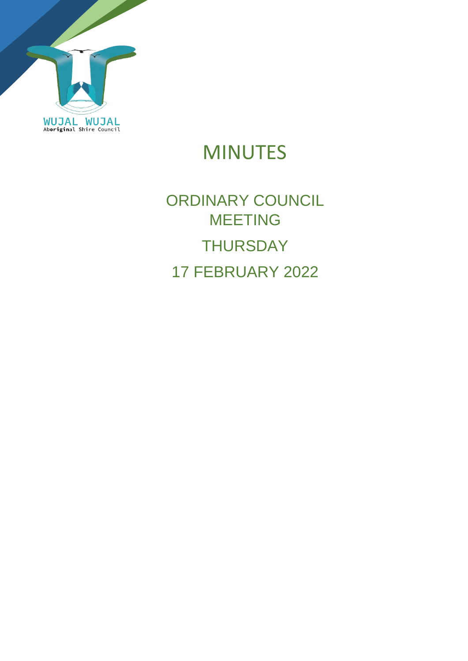

# MINUTES

# ORDINARY COUNCIL MEETING **THURSDAY** 17 FEBRUARY 2022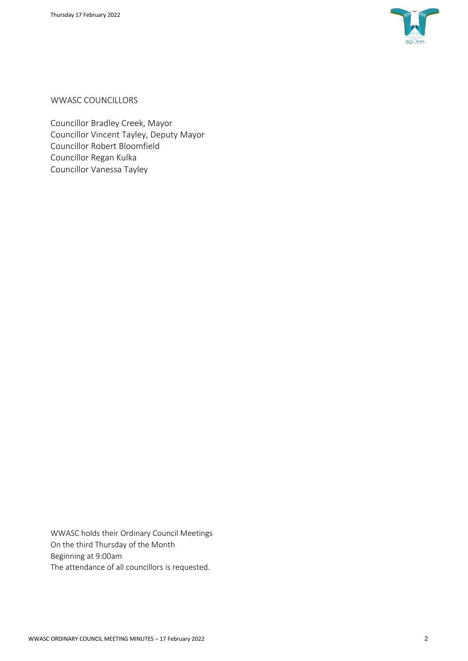

WWASC COUNCILLORS

Councillor Bradley Creek, Mayor Councillor Vincent Tayley, Deputy Mayor Councillor Robert Bloomfield Councillor Regan Kulka Councillor Vanessa Tayley

WWASC holds their Ordinary Council Meetings On the third Thursday of the Month Beginning at 9:00am The attendance of all councillors is requested.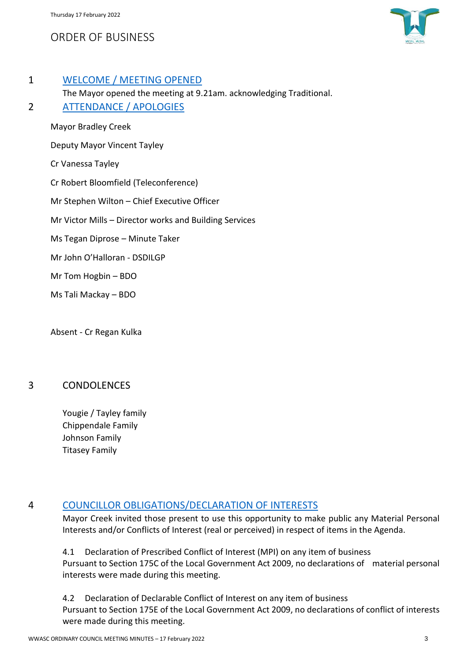# ORDER OF BUSINESS



#### 1 WELCOME / MEETING OPENED

The Mayor opened the meeting at 9.21am. acknowledging Traditional. 2 ATTENDANCE / APOLOGIES

Mayor Bradley Creek Deputy Mayor Vincent Tayley Cr Vanessa Tayley Cr Robert Bloomfield (Teleconference) Mr Stephen Wilton – Chief Executive Officer Mr Victor Mills – Director works and Building Services Ms Tegan Diprose – Minute Taker Mr John O'Halloran - DSDILGP Mr Tom Hogbin – BDO Ms Tali Mackay – BDO

Absent - Cr Regan Kulka

#### 3 CONDOLENCES

Yougie / Tayley family Chippendale Family Johnson Family Titasey Family

#### 4 COUNCILLOR OBLIGATIONS/DECLARATION OF INTERESTS

Mayor Creek invited those present to use this opportunity to make public any Material Personal Interests and/or Conflicts of Interest (real or perceived) in respect of items in the Agenda.

4.1 Declaration of Prescribed Conflict of Interest (MPI) on any item of business Pursuant to Section 175C of the Local Government Act 2009, no declarations of material personal interests were made during this meeting.

4.2 Declaration of Declarable Conflict of Interest on any item of business Pursuant to Section 175E of the Local Government Act 2009, no declarations of conflict of interests were made during this meeting.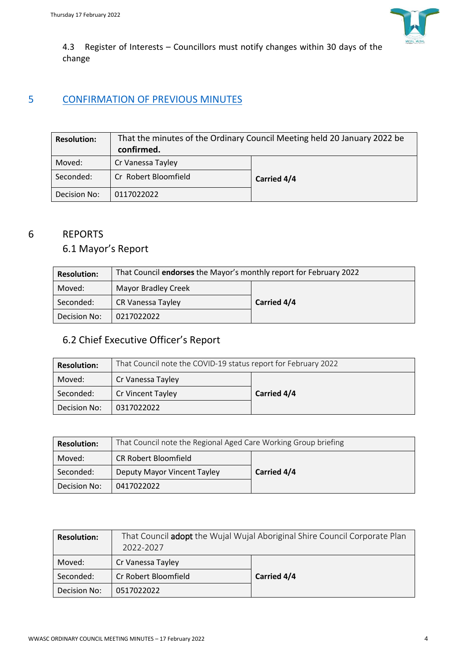

4.3 Register of Interests – Councillors must notify changes within 30 days of the change

# 5 CONFIRMATION OF PREVIOUS MINUTES

| <b>Resolution:</b> | That the minutes of the Ordinary Council Meeting held 20 January 2022 be<br>confirmed. |             |
|--------------------|----------------------------------------------------------------------------------------|-------------|
| Moved:             | Cr Vanessa Tayley                                                                      |             |
| Seconded:          | Cr Robert Bloomfield                                                                   | Carried 4/4 |
| Decision No:       | 0117022022                                                                             |             |

#### 6 REPORTS

## 6.1 Mayor's Report

| <b>Resolution:</b> | That Council endorses the Mayor's monthly report for February 2022 |             |  |
|--------------------|--------------------------------------------------------------------|-------------|--|
| Moved:             | <b>Mayor Bradley Creek</b>                                         |             |  |
| Seconded:          | CR Vanessa Tayley                                                  | Carried 4/4 |  |
| Decision No:       | 0217022022                                                         |             |  |

## 6.2 Chief Executive Officer's Report

| <b>Resolution:</b> | That Council note the COVID-19 status report for February 2022 |             |  |
|--------------------|----------------------------------------------------------------|-------------|--|
| Moved:             | Cr Vanessa Tayley                                              |             |  |
| Seconded:          | Cr Vincent Tayley                                              | Carried 4/4 |  |
| Decision No:       | 0317022022                                                     |             |  |

| <b>Resolution:</b> | That Council note the Regional Aged Care Working Group briefing |             |  |
|--------------------|-----------------------------------------------------------------|-------------|--|
| Moved:             | <b>CR Robert Bloomfield</b>                                     |             |  |
| Seconded:          | Deputy Mayor Vincent Tayley                                     | Carried 4/4 |  |
| Decision No:       | 0417022022                                                      |             |  |

| <b>Resolution:</b> | That Council adopt the Wujal Wujal Aboriginal Shire Council Corporate Plan<br>2022-2027 |             |
|--------------------|-----------------------------------------------------------------------------------------|-------------|
| Moved:             | Cr Vanessa Tayley                                                                       |             |
| Seconded:          | Cr Robert Bloomfield                                                                    | Carried 4/4 |
| Decision No:       | 0517022022                                                                              |             |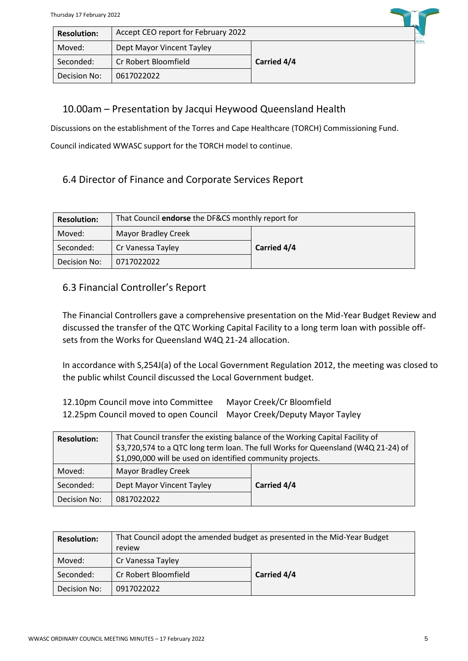| THUISUAV IT FEDIUAIV ZUZZ |                                     |             |              |
|---------------------------|-------------------------------------|-------------|--------------|
| <b>Resolution:</b>        | Accept CEO report for February 2022 |             |              |
| Moved:                    | Dept Mayor Vincent Tayley           |             | <b>WUJAL</b> |
| Seconded:                 | Cr Robert Bloomfield                | Carried 4/4 |              |
| Decision No:              | 0617022022                          |             |              |

#### 10.00am – Presentation by Jacqui Heywood Queensland Health

Discussions on the establishment of the Torres and Cape Healthcare (TORCH) Commissioning Fund.

Council indicated WWASC support for the TORCH model to continue.

## 6.4 Director of Finance and Corporate Services Report

| <b>Resolution:</b> | That Council endorse the DF&CS monthly report for |             |  |
|--------------------|---------------------------------------------------|-------------|--|
| Moved:             | <b>Mayor Bradley Creek</b>                        |             |  |
| Seconded:          | Cr Vanessa Tayley                                 | Carried 4/4 |  |
| Decision No:       | 0717022022                                        |             |  |

#### 6.3 Financial Controller's Report

The Financial Controllers gave a comprehensive presentation on the Mid-Year Budget Review and discussed the transfer of the QTC Working Capital Facility to a long term loan with possible offsets from the Works for Queensland W4Q 21-24 allocation.

In accordance with S,254J(a) of the Local Government Regulation 2012, the meeting was closed to the public whilst Council discussed the Local Government budget.

| 12.10pm Council move into Committee                                   | Mayor Creek/Cr Bloomfield |
|-----------------------------------------------------------------------|---------------------------|
| 12.25pm Council moved to open Council Mayor Creek/Deputy Mayor Tayley |                           |

| <b>Resolution:</b> | That Council transfer the existing balance of the Working Capital Facility of<br>\$3,720,574 to a QTC long term loan. The full Works for Queensland (W4Q 21-24) of<br>\$1,090,000 will be used on identified community projects. |             |
|--------------------|----------------------------------------------------------------------------------------------------------------------------------------------------------------------------------------------------------------------------------|-------------|
| Moved:             | <b>Mayor Bradley Creek</b>                                                                                                                                                                                                       |             |
| Seconded:          | Dept Mayor Vincent Tayley                                                                                                                                                                                                        | Carried 4/4 |
| Decision No:       | 0817022022                                                                                                                                                                                                                       |             |

| <b>Resolution:</b> | That Council adopt the amended budget as presented in the Mid-Year Budget<br>review |             |
|--------------------|-------------------------------------------------------------------------------------|-------------|
| Moved:             | Cr Vanessa Tayley                                                                   |             |
| Seconded:          | Cr Robert Bloomfield                                                                | Carried 4/4 |
| Decision No:       | 0917022022                                                                          |             |

**Contract**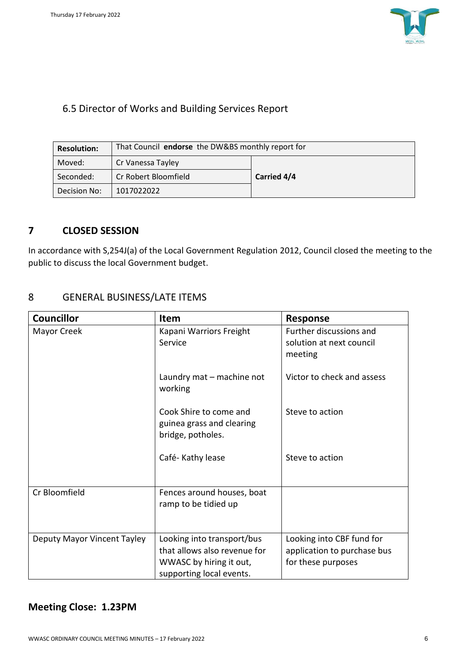

## 6.5 Director of Works and Building Services Report

| <b>Resolution:</b> | That Council endorse the DW&BS monthly report for |             |  |
|--------------------|---------------------------------------------------|-------------|--|
| Moved:             | Cr Vanessa Tayley                                 |             |  |
| Seconded:          | Cr Robert Bloomfield                              | Carried 4/4 |  |
| Decision No:       | 1017022022                                        |             |  |

#### **7 CLOSED SESSION**

In accordance with S,254J(a) of the Local Government Regulation 2012, Council closed the meeting to the public to discuss the local Government budget.

#### 8 GENERAL BUSINESS/LATE ITEMS

| <b>Councillor</b>           | <b>Item</b>                                                                                                       | <b>Response</b>                                                                |
|-----------------------------|-------------------------------------------------------------------------------------------------------------------|--------------------------------------------------------------------------------|
| Mayor Creek                 | Kapani Warriors Freight<br>Service                                                                                | Further discussions and<br>solution at next council<br>meeting                 |
|                             | Laundry mat - machine not<br>working                                                                              | Victor to check and assess                                                     |
|                             | Cook Shire to come and<br>guinea grass and clearing<br>bridge, potholes.                                          | Steve to action                                                                |
|                             | Café-Kathy lease                                                                                                  | Steve to action                                                                |
| Cr Bloomfield               | Fences around houses, boat<br>ramp to be tidied up                                                                |                                                                                |
| Deputy Mayor Vincent Tayley | Looking into transport/bus<br>that allows also revenue for<br>WWASC by hiring it out,<br>supporting local events. | Looking into CBF fund for<br>application to purchase bus<br>for these purposes |

## **Meeting Close: 1.23PM**